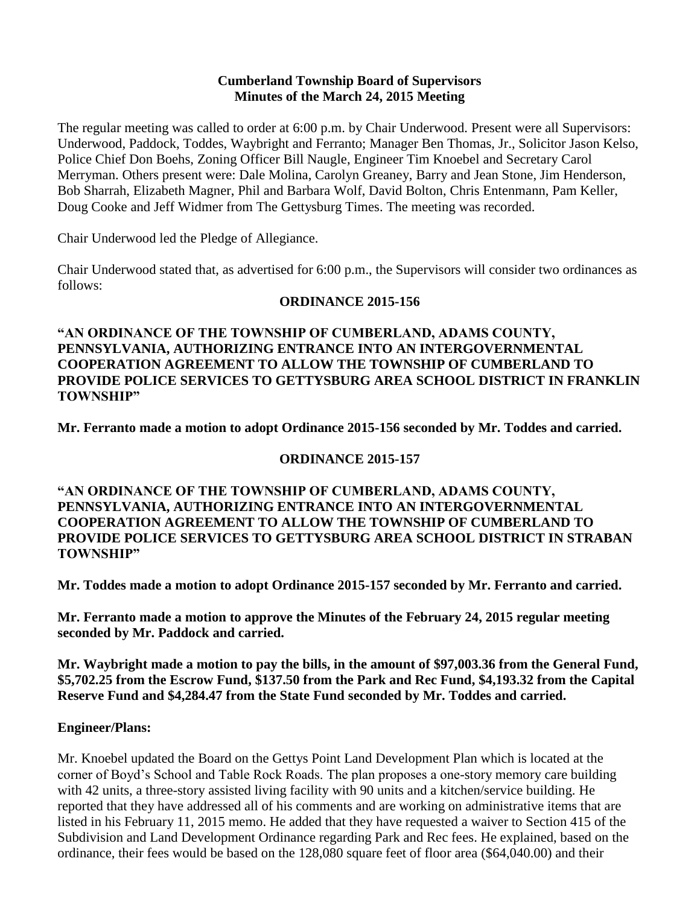#### **Cumberland Township Board of Supervisors Minutes of the March 24, 2015 Meeting**

The regular meeting was called to order at 6:00 p.m. by Chair Underwood. Present were all Supervisors: Underwood, Paddock, Toddes, Waybright and Ferranto; Manager Ben Thomas, Jr., Solicitor Jason Kelso, Police Chief Don Boehs, Zoning Officer Bill Naugle, Engineer Tim Knoebel and Secretary Carol Merryman. Others present were: Dale Molina, Carolyn Greaney, Barry and Jean Stone, Jim Henderson, Bob Sharrah, Elizabeth Magner, Phil and Barbara Wolf, David Bolton, Chris Entenmann, Pam Keller, Doug Cooke and Jeff Widmer from The Gettysburg Times. The meeting was recorded.

Chair Underwood led the Pledge of Allegiance.

Chair Underwood stated that, as advertised for 6:00 p.m., the Supervisors will consider two ordinances as follows:

### **ORDINANCE 2015-156**

**"AN ORDINANCE OF THE TOWNSHIP OF CUMBERLAND, ADAMS COUNTY, PENNSYLVANIA, AUTHORIZING ENTRANCE INTO AN INTERGOVERNMENTAL COOPERATION AGREEMENT TO ALLOW THE TOWNSHIP OF CUMBERLAND TO PROVIDE POLICE SERVICES TO GETTYSBURG AREA SCHOOL DISTRICT IN FRANKLIN TOWNSHIP"**

**Mr. Ferranto made a motion to adopt Ordinance 2015-156 seconded by Mr. Toddes and carried.**

### **ORDINANCE 2015-157**

**"AN ORDINANCE OF THE TOWNSHIP OF CUMBERLAND, ADAMS COUNTY, PENNSYLVANIA, AUTHORIZING ENTRANCE INTO AN INTERGOVERNMENTAL COOPERATION AGREEMENT TO ALLOW THE TOWNSHIP OF CUMBERLAND TO PROVIDE POLICE SERVICES TO GETTYSBURG AREA SCHOOL DISTRICT IN STRABAN TOWNSHIP"**

**Mr. Toddes made a motion to adopt Ordinance 2015-157 seconded by Mr. Ferranto and carried.**

**Mr. Ferranto made a motion to approve the Minutes of the February 24, 2015 regular meeting seconded by Mr. Paddock and carried.** 

**Mr. Waybright made a motion to pay the bills, in the amount of \$97,003.36 from the General Fund, \$5,702.25 from the Escrow Fund, \$137.50 from the Park and Rec Fund, \$4,193.32 from the Capital Reserve Fund and \$4,284.47 from the State Fund seconded by Mr. Toddes and carried.**

### **Engineer/Plans:**

Mr. Knoebel updated the Board on the Gettys Point Land Development Plan which is located at the corner of Boyd's School and Table Rock Roads. The plan proposes a one-story memory care building with 42 units, a three-story assisted living facility with 90 units and a kitchen/service building. He reported that they have addressed all of his comments and are working on administrative items that are listed in his February 11, 2015 memo. He added that they have requested a waiver to Section 415 of the Subdivision and Land Development Ordinance regarding Park and Rec fees. He explained, based on the ordinance, their fees would be based on the 128,080 square feet of floor area (\$64,040.00) and their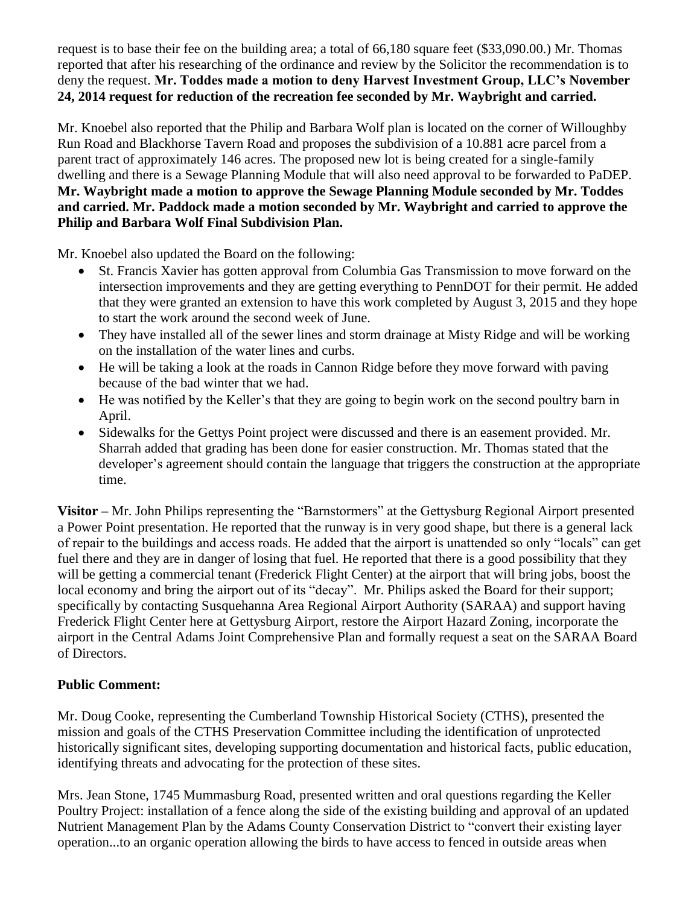request is to base their fee on the building area; a total of 66,180 square feet (\$33,090.00.) Mr. Thomas reported that after his researching of the ordinance and review by the Solicitor the recommendation is to deny the request. **Mr. Toddes made a motion to deny Harvest Investment Group, LLC's November 24, 2014 request for reduction of the recreation fee seconded by Mr. Waybright and carried.** 

Mr. Knoebel also reported that the Philip and Barbara Wolf plan is located on the corner of Willoughby Run Road and Blackhorse Tavern Road and proposes the subdivision of a 10.881 acre parcel from a parent tract of approximately 146 acres. The proposed new lot is being created for a single-family dwelling and there is a Sewage Planning Module that will also need approval to be forwarded to PaDEP. **Mr. Waybright made a motion to approve the Sewage Planning Module seconded by Mr. Toddes and carried. Mr. Paddock made a motion seconded by Mr. Waybright and carried to approve the Philip and Barbara Wolf Final Subdivision Plan.** 

Mr. Knoebel also updated the Board on the following:

- St. Francis Xavier has gotten approval from Columbia Gas Transmission to move forward on the intersection improvements and they are getting everything to PennDOT for their permit. He added that they were granted an extension to have this work completed by August 3, 2015 and they hope to start the work around the second week of June.
- They have installed all of the sewer lines and storm drainage at Misty Ridge and will be working on the installation of the water lines and curbs.
- He will be taking a look at the roads in Cannon Ridge before they move forward with paving because of the bad winter that we had.
- He was notified by the Keller's that they are going to begin work on the second poultry barn in April.
- Sidewalks for the Gettys Point project were discussed and there is an easement provided. Mr. Sharrah added that grading has been done for easier construction. Mr. Thomas stated that the developer's agreement should contain the language that triggers the construction at the appropriate time.

**Visitor –** Mr. John Philips representing the "Barnstormers" at the Gettysburg Regional Airport presented a Power Point presentation. He reported that the runway is in very good shape, but there is a general lack of repair to the buildings and access roads. He added that the airport is unattended so only "locals" can get fuel there and they are in danger of losing that fuel. He reported that there is a good possibility that they will be getting a commercial tenant (Frederick Flight Center) at the airport that will bring jobs, boost the local economy and bring the airport out of its "decay". Mr. Philips asked the Board for their support; specifically by contacting Susquehanna Area Regional Airport Authority (SARAA) and support having Frederick Flight Center here at Gettysburg Airport, restore the Airport Hazard Zoning, incorporate the airport in the Central Adams Joint Comprehensive Plan and formally request a seat on the SARAA Board of Directors.

# **Public Comment:**

Mr. Doug Cooke, representing the Cumberland Township Historical Society (CTHS), presented the mission and goals of the CTHS Preservation Committee including the identification of unprotected historically significant sites, developing supporting documentation and historical facts, public education, identifying threats and advocating for the protection of these sites.

Mrs. Jean Stone, 1745 Mummasburg Road, presented written and oral questions regarding the Keller Poultry Project: installation of a fence along the side of the existing building and approval of an updated Nutrient Management Plan by the Adams County Conservation District to "convert their existing layer operation...to an organic operation allowing the birds to have access to fenced in outside areas when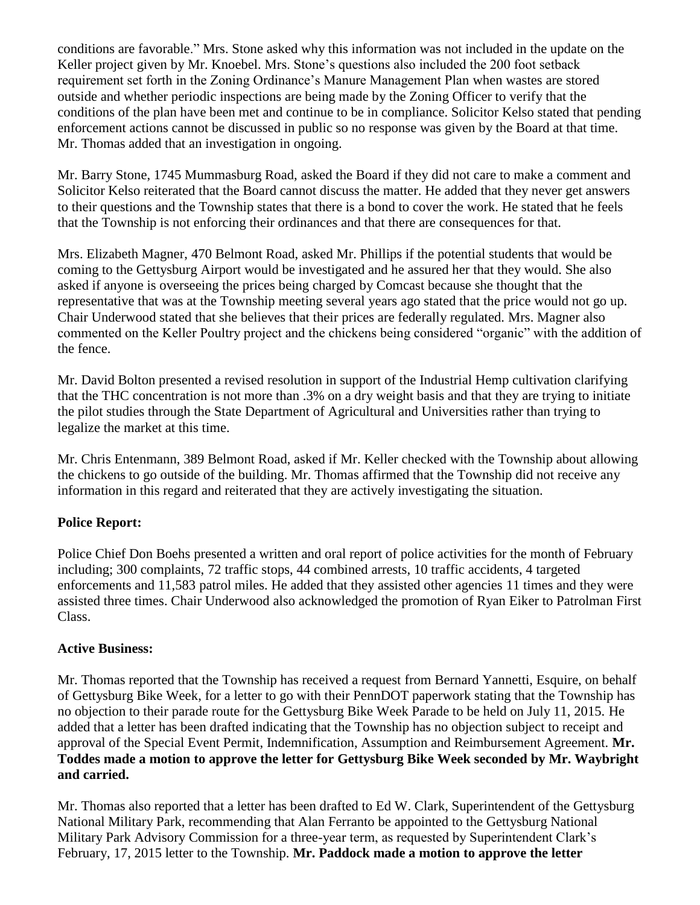conditions are favorable." Mrs. Stone asked why this information was not included in the update on the Keller project given by Mr. Knoebel. Mrs. Stone's questions also included the 200 foot setback requirement set forth in the Zoning Ordinance's Manure Management Plan when wastes are stored outside and whether periodic inspections are being made by the Zoning Officer to verify that the conditions of the plan have been met and continue to be in compliance. Solicitor Kelso stated that pending enforcement actions cannot be discussed in public so no response was given by the Board at that time. Mr. Thomas added that an investigation in ongoing.

Mr. Barry Stone, 1745 Mummasburg Road, asked the Board if they did not care to make a comment and Solicitor Kelso reiterated that the Board cannot discuss the matter. He added that they never get answers to their questions and the Township states that there is a bond to cover the work. He stated that he feels that the Township is not enforcing their ordinances and that there are consequences for that.

Mrs. Elizabeth Magner, 470 Belmont Road, asked Mr. Phillips if the potential students that would be coming to the Gettysburg Airport would be investigated and he assured her that they would. She also asked if anyone is overseeing the prices being charged by Comcast because she thought that the representative that was at the Township meeting several years ago stated that the price would not go up. Chair Underwood stated that she believes that their prices are federally regulated. Mrs. Magner also commented on the Keller Poultry project and the chickens being considered "organic" with the addition of the fence.

Mr. David Bolton presented a revised resolution in support of the Industrial Hemp cultivation clarifying that the THC concentration is not more than .3% on a dry weight basis and that they are trying to initiate the pilot studies through the State Department of Agricultural and Universities rather than trying to legalize the market at this time.

Mr. Chris Entenmann, 389 Belmont Road, asked if Mr. Keller checked with the Township about allowing the chickens to go outside of the building. Mr. Thomas affirmed that the Township did not receive any information in this regard and reiterated that they are actively investigating the situation.

## **Police Report:**

Police Chief Don Boehs presented a written and oral report of police activities for the month of February including; 300 complaints, 72 traffic stops, 44 combined arrests, 10 traffic accidents, 4 targeted enforcements and 11,583 patrol miles. He added that they assisted other agencies 11 times and they were assisted three times. Chair Underwood also acknowledged the promotion of Ryan Eiker to Patrolman First Class.

### **Active Business:**

Mr. Thomas reported that the Township has received a request from Bernard Yannetti, Esquire, on behalf of Gettysburg Bike Week, for a letter to go with their PennDOT paperwork stating that the Township has no objection to their parade route for the Gettysburg Bike Week Parade to be held on July 11, 2015. He added that a letter has been drafted indicating that the Township has no objection subject to receipt and approval of the Special Event Permit, Indemnification, Assumption and Reimbursement Agreement. **Mr. Toddes made a motion to approve the letter for Gettysburg Bike Week seconded by Mr. Waybright and carried.**

Mr. Thomas also reported that a letter has been drafted to Ed W. Clark, Superintendent of the Gettysburg National Military Park, recommending that Alan Ferranto be appointed to the Gettysburg National Military Park Advisory Commission for a three-year term, as requested by Superintendent Clark's February, 17, 2015 letter to the Township. **Mr. Paddock made a motion to approve the letter**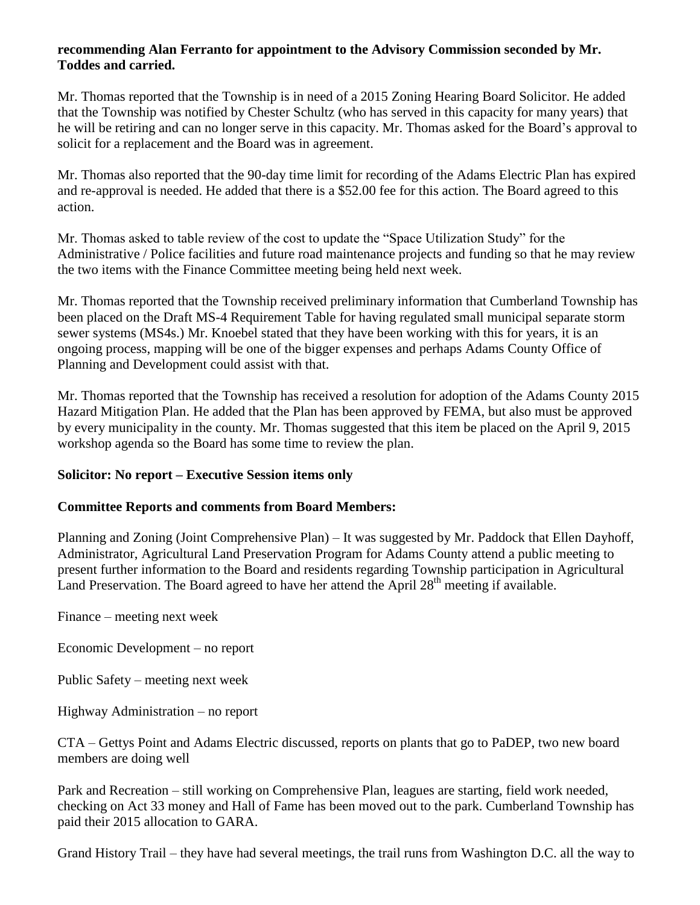#### **recommending Alan Ferranto for appointment to the Advisory Commission seconded by Mr. Toddes and carried.**

Mr. Thomas reported that the Township is in need of a 2015 Zoning Hearing Board Solicitor. He added that the Township was notified by Chester Schultz (who has served in this capacity for many years) that he will be retiring and can no longer serve in this capacity. Mr. Thomas asked for the Board's approval to solicit for a replacement and the Board was in agreement.

Mr. Thomas also reported that the 90-day time limit for recording of the Adams Electric Plan has expired and re-approval is needed. He added that there is a \$52.00 fee for this action. The Board agreed to this action.

Mr. Thomas asked to table review of the cost to update the "Space Utilization Study" for the Administrative / Police facilities and future road maintenance projects and funding so that he may review the two items with the Finance Committee meeting being held next week.

Mr. Thomas reported that the Township received preliminary information that Cumberland Township has been placed on the Draft MS-4 Requirement Table for having regulated small municipal separate storm sewer systems (MS4s.) Mr. Knoebel stated that they have been working with this for years, it is an ongoing process, mapping will be one of the bigger expenses and perhaps Adams County Office of Planning and Development could assist with that.

Mr. Thomas reported that the Township has received a resolution for adoption of the Adams County 2015 Hazard Mitigation Plan. He added that the Plan has been approved by FEMA, but also must be approved by every municipality in the county. Mr. Thomas suggested that this item be placed on the April 9, 2015 workshop agenda so the Board has some time to review the plan.

### **Solicitor: No report – Executive Session items only**

#### **Committee Reports and comments from Board Members:**

Planning and Zoning (Joint Comprehensive Plan) – It was suggested by Mr. Paddock that Ellen Dayhoff, Administrator, Agricultural Land Preservation Program for Adams County attend a public meeting to present further information to the Board and residents regarding Township participation in Agricultural Land Preservation. The Board agreed to have her attend the April  $28<sup>th</sup>$  meeting if available.

Finance – meeting next week

Economic Development – no report

Public Safety – meeting next week

Highway Administration – no report

CTA – Gettys Point and Adams Electric discussed, reports on plants that go to PaDEP, two new board members are doing well

Park and Recreation – still working on Comprehensive Plan, leagues are starting, field work needed, checking on Act 33 money and Hall of Fame has been moved out to the park. Cumberland Township has paid their 2015 allocation to GARA.

Grand History Trail – they have had several meetings, the trail runs from Washington D.C. all the way to